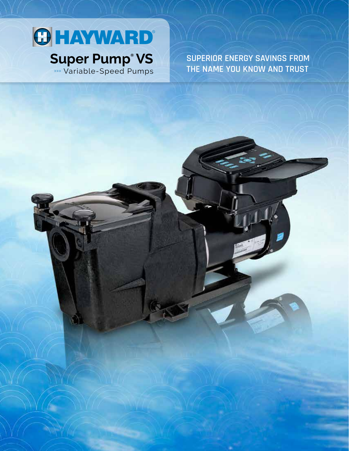# **O HAYWARD® Super Pump® VS** »»» Variable-Speed Pumps

**SUPERIOR ENERGY SAVINGS FROM THE NAME YOU KNOW AND TRUST**